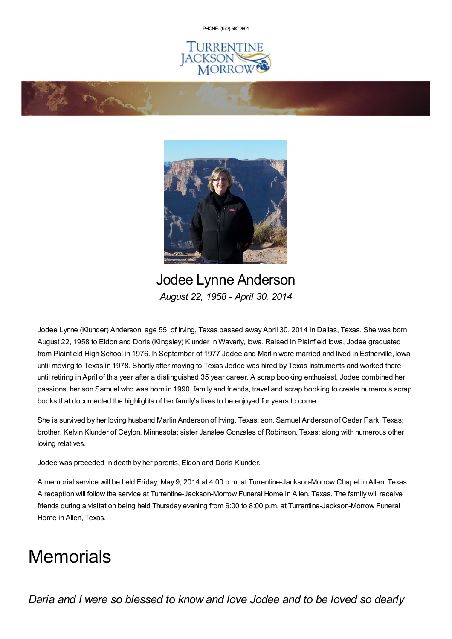PHONE: (972) [562-2601](tel:(972) 562-2601)







Jodee Lynne Anderson *August 22, 1958 - April 30, 2014*

Jodee Lynne (Klunder) Anderson, age 55, of Irving, Texas passed away April 30, 2014 in Dallas, Texas. She was born August 22, 1958 to Eldon and Doris (Kingsley) Klunder in Waverly, Iowa. Raised in Plainfield Iowa, Jodee graduated from Plainfield High School in 1976. In September of 1977 Jodee and Marlin were married and lived in Estherville, Iowa until moving to Texas in 1978. Shortly after moving to Texas Jodee was hired by Texas Instruments and worked there until retiring in April of this year after a distinguished 35 year career. A scrap booking enthusiast, Jodee combined her passions, her son Samuel who was born in 1990, family and friends, travel and scrap booking to create numerous scrap books that documented the highlights of her family's lives to be enjoyed for years to come.

She is survived by her loving husband Marlin Anderson of Irving, Texas; son, Samuel Anderson of Cedar Park, Texas; brother, Kelvin Klunder of Ceylon, Minnesota; sister Janalee Gonzales of Robinson, Texas; along with numerous other loving relatives.

Jodee was preceded in death by her parents, Eldon and Doris Klunder.

A memorial service will be held Friday, May 9, 2014 at 4:00 p.m. at Turrentine-Jackson-Morrow Chapel in Allen, Texas. A reception will follow the service at Turrentine-Jackson-Morrow Funeral Home in Allen, Texas. The family will receive friends during a visitation being held Thursday evening from 6:00 to 8:00 p.m. at Turrentine-Jackson-Morrow Funeral Home in Allen, Texas.

## **Memorials**

*Daria and I were so blessed to know and love Jodee and to be loved so dearly*